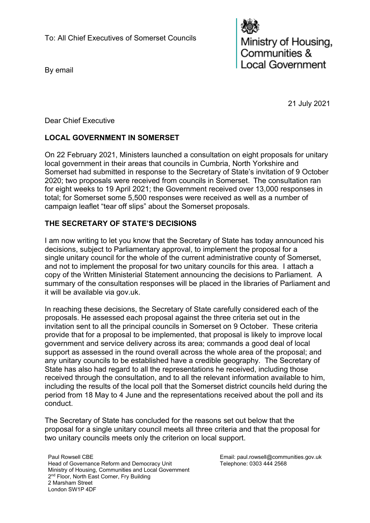By email

Ministry of Housing, Communities & Local Government

21 July 2021

Dear Chief Executive

# **LOCAL GOVERNMENT IN SOMERSET**

On 22 February 2021, Ministers launched a consultation on eight proposals for unitary local government in their areas that councils in Cumbria, North Yorkshire and Somerset had submitted in response to the Secretary of State's invitation of 9 October 2020; two proposals were received from councils in Somerset.  The consultation ran for eight weeks to 19 April 2021; the Government received over 13,000 responses in total; for Somerset some 5,500 responses were received as well as a number of campaign leaflet "tear off slips" about the Somerset proposals.

# **THE SECRETARY OF STATE'S DECISIONS**

I am now writing to let you know that the Secretary of State has today announced his decisions, subject to Parliamentary approval, to implement the proposal for a single unitary council for the whole of the current administrative county of Somerset, and not to implement the proposal for two unitary councils for this area. I attach a copy of the Written Ministerial Statement announcing the decisions to Parliament. A summary of the consultation responses will be placed in the libraries of Parliament and it will be available via gov.uk.

In reaching these decisions, the Secretary of State carefully considered each of the proposals. He assessed each proposal against the three criteria set out in the invitation sent to all the principal councils in Somerset on 9 October. These criteria provide that for a proposal to be implemented, that proposal is likely to improve local government and service delivery across its area; commands a good deal of local support as assessed in the round overall across the whole area of the proposal; and any unitary councils to be established have a credible geography. The Secretary of State has also had regard to all the representations he received, including those received through the consultation, and to all the relevant information available to him, including the results of the local poll that the Somerset district councils held during the period from 18 May to 4 June and the representations received about the poll and its conduct.

The Secretary of State has concluded for the reasons set out below that the proposal for a single unitary council meets all three criteria and that the proposal for two unitary councils meets only the criterion on local support.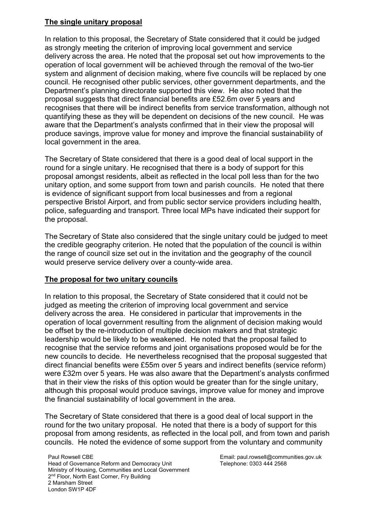#### **The single unitary proposal**

In relation to this proposal, the Secretary of State considered that it could be judged as strongly meeting the criterion of improving local government and service delivery across the area. He noted that the proposal set out how improvements to the operation of local government will be achieved through the removal of the two-tier system and alignment of decision making, where five councils will be replaced by one council. He recognised other public services, other government departments, and the Department's planning directorate supported this view. He also noted that the proposal suggests that direct financial benefits are £52.6m over 5 years and recognises that there will be indirect benefits from service transformation, although not quantifying these as they will be dependent on decisions of the new council. He was aware that the Department's analysts confirmed that in their view the proposal will produce savings, improve value for money and improve the financial sustainability of local government in the area.

The Secretary of State considered that there is a good deal of local support in the round for a single unitary. He recognised that there is a body of support for this proposal amongst residents, albeit as reflected in the local poll less than for the two unitary option, and some support from town and parish councils. He noted that there is evidence of significant support from local businesses and from a regional perspective Bristol Airport, and from public sector service providers including health, police, safeguarding and transport. Three local MPs have indicated their support for the proposal.

The Secretary of State also considered that the single unitary could be judged to meet the credible geography criterion. He noted that the population of the council is within the range of council size set out in the invitation and the geography of the council would preserve service delivery over a county-wide area.

### **The proposal for two unitary councils**

In relation to this proposal, the Secretary of State considered that it could not be judged as meeting the criterion of improving local government and service delivery across the area. He considered in particular that improvements in the operation of local government resulting from the alignment of decision making would be offset by the re-introduction of multiple decision makers and that strategic leadership would be likely to be weakened. He noted that the proposal failed to recognise that the service reforms and joint organisations proposed would be for the new councils to decide. He nevertheless recognised that the proposal suggested that direct financial benefits were £55m over 5 years and indirect benefits (service reform) were £32m over 5 years. He was also aware that the Department's analysts confirmed that in their view the risks of this option would be greater than for the single unitary, although this proposal would produce savings, improve value for money and improve the financial sustainability of local government in the area.

The Secretary of State considered that there is a good deal of local support in the round for the two unitary proposal. He noted that there is a body of support for this proposal from among residents, as reflected in the local poll, and from town and parish councils. He noted the evidence of some support from the voluntary and community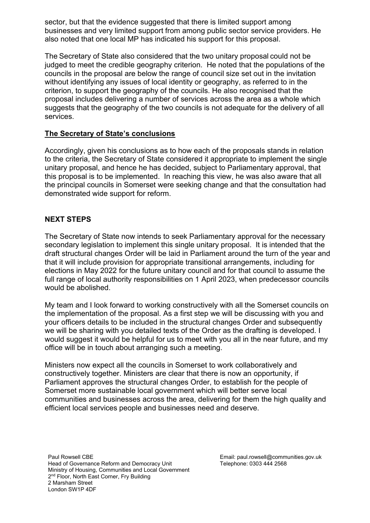sector, but that the evidence suggested that there is limited support among businesses and very limited support from among public sector service providers. He also noted that one local MP has indicated his support for this proposal.

The Secretary of State also considered that the two unitary proposal could not be judged to meet the credible geography criterion. He noted that the populations of the councils in the proposal are below the range of council size set out in the invitation without identifying any issues of local identity or geography, as referred to in the criterion, to support the geography of the councils. He also recognised that the proposal includes delivering a number of services across the area as a whole which suggests that the geography of the two councils is not adequate for the delivery of all services.

### **The Secretary of State's conclusions**

Accordingly, given his conclusions as to how each of the proposals stands in relation to the criteria, the Secretary of State considered it appropriate to implement the single unitary proposal, and hence he has decided, subject to Parliamentary approval, that this proposal is to be implemented. In reaching this view, he was also aware that all the principal councils in Somerset were seeking change and that the consultation had demonstrated wide support for reform.

### **NEXT STEPS**

The Secretary of State now intends to seek Parliamentary approval for the necessary secondary legislation to implement this single unitary proposal. It is intended that the draft structural changes Order will be laid in Parliament around the turn of the year and that it will include provision for appropriate transitional arrangements, including for elections in May 2022 for the future unitary council and for that council to assume the full range of local authority responsibilities on 1 April 2023, when predecessor councils would be abolished.

My team and I look forward to working constructively with all the Somerset councils on the implementation of the proposal. As a first step we will be discussing with you and your officers details to be included in the structural changes Order and subsequently we will be sharing with you detailed texts of the Order as the drafting is developed. I would suggest it would be helpful for us to meet with you all in the near future, and my office will be in touch about arranging such a meeting.

Ministers now expect all the councils in Somerset to work collaboratively and constructively together. Ministers are clear that there is now an opportunity, if Parliament approves the structural changes Order, to establish for the people of Somerset more sustainable local government which will better serve local communities and businesses across the area, delivering for them the high quality and efficient local services people and businesses need and deserve.